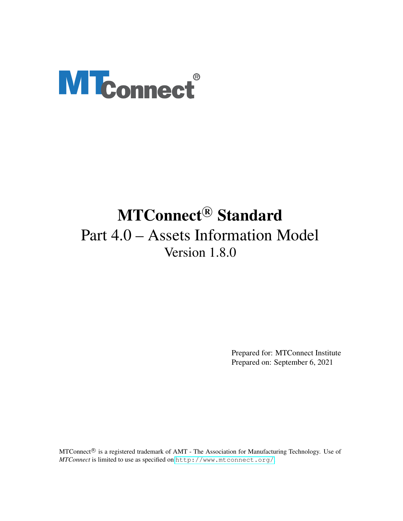# **MTconnect®**

# MTConnect<sup>®</sup> Standard Part 4.0 – Assets Information Model Version 1.8.0

Prepared for: MTConnect Institute Prepared on: September 6, 2021

MTConnect<sup>®</sup> is a registered trademark of AMT - The Association for Manufacturing Technology. Use of *MTConnect* is limited to use as specified on <http://www.mtconnect.org/>.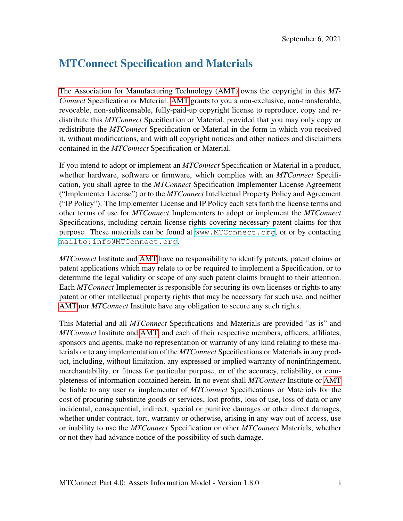# MTConnect Specification and Materials

[The Association for Manufacturing Technology \(AMT\)](#page-12-0) owns the copyright in this *MT-Connect* Specification or Material. [AMT](#page-12-0) grants to you a non-exclusive, non-transferable, revocable, non-sublicensable, fully-paid-up copyright license to reproduce, copy and redistribute this *MTConnect* Specification or Material, provided that you may only copy or redistribute the *MTConnect* Specification or Material in the form in which you received it, without modifications, and with all copyright notices and other notices and disclaimers contained in the *MTConnect* Specification or Material.

If you intend to adopt or implement an *MTConnect* Specification or Material in a product, whether hardware, software or firmware, which complies with an *MTConnect* Specification, you shall agree to the *MTConnect* Specification Implementer License Agreement ("Implementer License") or to the *MTConnect* Intellectual Property Policy and Agreement ("IP Policy"). The Implementer License and IP Policy each sets forth the license terms and other terms of use for *MTConnect* Implementers to adopt or implement the *MTConnect* Specifications, including certain license rights covering necessary patent claims for that purpose. These materials can be found at <www.MTConnect.org>, or or by contacting <mailto:info@MTConnect.org>.

*MTConnect* Institute and [AMT](#page-12-0) have no responsibility to identify patents, patent claims or patent applications which may relate to or be required to implement a Specification, or to determine the legal validity or scope of any such patent claims brought to their attention. Each *MTConnect* Implementer is responsible for securing its own licenses or rights to any patent or other intellectual property rights that may be necessary for such use, and neither [AMT](#page-12-0) nor *MTConnect* Institute have any obligation to secure any such rights.

This Material and all *MTConnect* Specifications and Materials are provided "as is" and *MTConnect* Institute and [AMT,](#page-12-0) and each of their respective members, officers, affiliates, sponsors and agents, make no representation or warranty of any kind relating to these materials or to any implementation of the *MTConnect* Specifications or Materials in any product, including, without limitation, any expressed or implied warranty of noninfringement, merchantability, or fitness for particular purpose, or of the accuracy, reliability, or completeness of information contained herein. In no event shall *MTConnect* Institute or [AMT](#page-12-0) be liable to any user or implementer of *MTConnect* Specifications or Materials for the cost of procuring substitute goods or services, lost profits, loss of use, loss of data or any incidental, consequential, indirect, special or punitive damages or other direct damages, whether under contract, tort, warranty or otherwise, arising in any way out of access, use or inability to use the *MTConnect* Specification or other *MTConnect* Materials, whether or not they had advance notice of the possibility of such damage.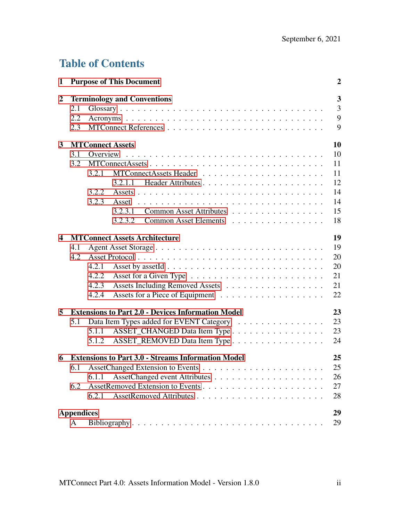# Table of Contents

| 1                       |                   |       | <b>Purpose of This Document</b>                           | $\boldsymbol{2}$              |
|-------------------------|-------------------|-------|-----------------------------------------------------------|-------------------------------|
| $\boldsymbol{2}$        | 2.1<br>2.2<br>2.3 |       | <b>Terminology and Conventions</b>                        | 3<br>$\overline{3}$<br>9<br>9 |
| 3                       |                   |       | <b>MTConnect Assets</b>                                   | 10                            |
|                         | 3.1               |       |                                                           | 10                            |
|                         | 3.2               |       | MTConnectAssets                                           | 11                            |
|                         |                   | 3.2.1 |                                                           | 11                            |
|                         |                   |       |                                                           | 12                            |
|                         |                   | 3.2.2 |                                                           | 14                            |
|                         |                   | 3.2.3 |                                                           | 14                            |
|                         |                   |       | Common Asset Attributes<br>3.2.3.1                        | 15                            |
|                         |                   |       | 3.2.3.2<br>Common Asset Elements                          | 18                            |
| $\overline{\mathbf{4}}$ |                   |       | <b>MTConnect Assets Architecture</b>                      | 19                            |
|                         | 4.1               |       |                                                           | 19                            |
|                         | 4.2               |       |                                                           | 20                            |
|                         |                   | 4.2.1 |                                                           | 20                            |
|                         |                   | 4.2.2 |                                                           | 21                            |
|                         |                   | 4.2.3 | Assets Including Removed Assets                           | 21                            |
|                         |                   | 4.2.4 |                                                           | 22                            |
| 5                       |                   |       | <b>Extensions to Part 2.0 - Devices Information Model</b> | 23                            |
|                         | 5.1               |       | Data Item Types added for EVENT Category                  | 23                            |
|                         |                   | 5.1.1 | ASSET_CHANGED Data Item Type                              | 23                            |
|                         |                   | 5.1.2 | ASSET_REMOVED Data Item Type                              | 24                            |
| 6                       |                   |       | <b>Extensions to Part 3.0 - Streams Information Model</b> | 25                            |
|                         | 6.1               |       |                                                           | 25                            |
|                         |                   | 6.1.1 |                                                           | 26                            |
|                         | 6.2               |       |                                                           | 27                            |
|                         |                   | 6.2.1 |                                                           | 28                            |
|                         | <b>Appendices</b> |       |                                                           | 29                            |
|                         | A                 |       |                                                           | 29                            |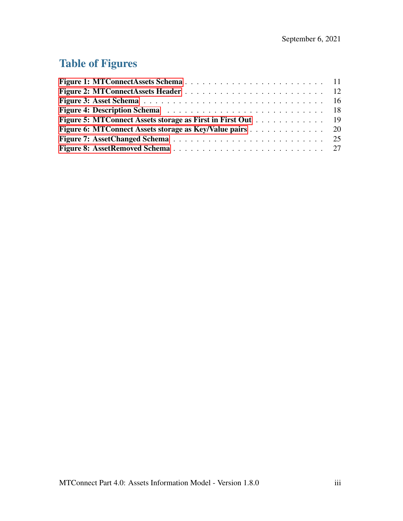# Table of Figures

| <b>Figure 5: MTConnect Assets storage as First in First Out</b> 19 |  |  |  |  |  |  |
|--------------------------------------------------------------------|--|--|--|--|--|--|
| Figure 6: MTConnect Assets storage as Key/Value pairs 20           |  |  |  |  |  |  |
|                                                                    |  |  |  |  |  |  |
|                                                                    |  |  |  |  |  |  |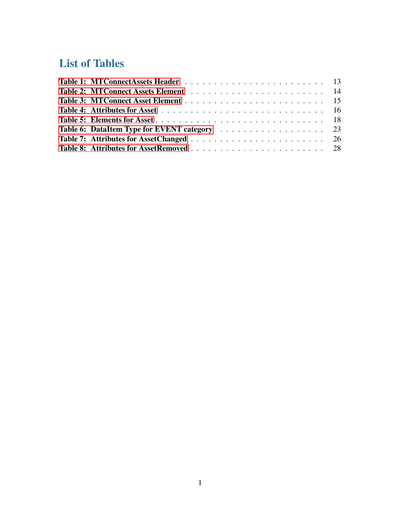# List of Tables

<span id="page-4-0"></span>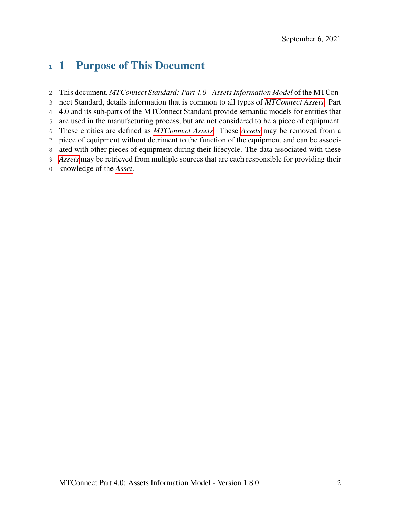# 1 Purpose of This Document

<span id="page-5-0"></span> This document, *MTConnect Standard: Part 4.0 - Assets Information Model* of the MTCon- nect Standard, details information that is common to all types of *[MTConnect Assets](#page-9-0)*. Part 4.0 and its sub-parts of the MTConnect Standard provide semantic models for entities that are used in the manufacturing process, but are not considered to be a piece of equipment. These entities are defined as *[MTConnect Assets](#page-9-0)*. These *[Assets](#page-7-0)* may be removed from a piece of equipment without detriment to the function of the equipment and can be associ- ated with other pieces of equipment during their lifecycle. The data associated with these *[Assets](#page-7-0)* may be retrieved from multiple sources that are each responsible for providing their knowledge of the *[Asset](#page-7-0)*.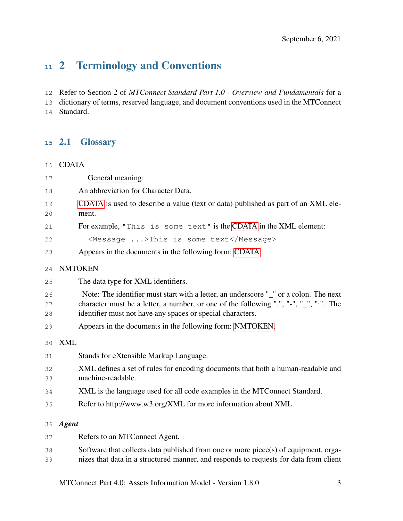# 2 Terminology and Conventions

Refer to Section 2 of *MTConnect Standard Part 1.0 - Overview and Fundamentals* for a

<span id="page-6-0"></span> dictionary of terms, reserved language, and document conventions used in the MTConnect Standard.

## 2.1 Glossary

<span id="page-6-1"></span>CDATA

<span id="page-6-4"></span><span id="page-6-3"></span><span id="page-6-2"></span>

| 17             | General meaning:                                                                                                                                                                                                                             |
|----------------|----------------------------------------------------------------------------------------------------------------------------------------------------------------------------------------------------------------------------------------------|
| 18             | An abbreviation for Character Data.                                                                                                                                                                                                          |
| 19<br>20       | CDATA is used to describe a value (text or data) published as part of an XML ele-<br>ment.                                                                                                                                                   |
| 21             | For example, "This is some text" is the CDATA in the XML element:                                                                                                                                                                            |
| 22             | <message>This is some text</message>                                                                                                                                                                                                         |
| 23             | Appears in the documents in the following form: CDATA                                                                                                                                                                                        |
| 24             | <b>NMTOKEN</b>                                                                                                                                                                                                                               |
| 25             | The data type for XML identifiers.                                                                                                                                                                                                           |
| 26<br>27<br>28 | Note: The identifier must start with a letter, an underscore "_" or a colon. The next<br>character must be a letter, a number, or one of the following ".", "-", "_", ":". The<br>identifier must not have any spaces or special characters. |
| 29             | Appears in the documents in the following form: NMTOKEN.                                                                                                                                                                                     |
| 30             | <b>XML</b>                                                                                                                                                                                                                                   |
| 31             | Stands for eXtensible Markup Language.                                                                                                                                                                                                       |
| 32<br>33       | XML defines a set of rules for encoding documents that both a human-readable and<br>machine-readable.                                                                                                                                        |
| 34             | XML is the language used for all code examples in the MTConnect Standard.                                                                                                                                                                    |
| 35             | Refer to http://www.w3.org/XML for more information about XML.                                                                                                                                                                               |
| 36             | <b>Agent</b>                                                                                                                                                                                                                                 |
| 37             | Refers to an MTConnect Agent.                                                                                                                                                                                                                |
| 38<br>39       | Software that collects data published from one or more piece(s) of equipment, orga-<br>nizes that data in a structured manner, and responds to requests for data from client                                                                 |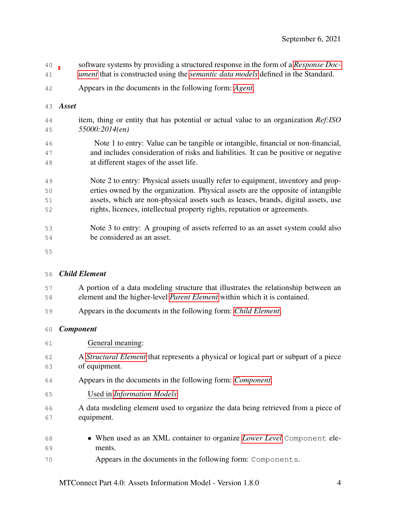- software systems by providing a structured response in the form of a *[Response Doc-](#page-10-0)*
- *[ument](#page-10-0)* that is constructed using the *[semantic data models](#page-10-1)* defined in the Standard.
- Appears in the documents in the following form: *[Agent](#page-6-3)*.
- <span id="page-7-0"></span>*Asset*
- item, thing or entity that has potential or actual value to an organization *Ref:ISO 55000:2014(en)*
- Note 1 to entry: Value can be tangible or intangible, financial or non-financial, and includes consideration of risks and liabilities. It can be positive or negative at different stages of the asset life.
- Note 2 to entry: Physical assets usually refer to equipment, inventory and prop- erties owned by the organization. Physical assets are the opposite of intangible assets, which are non-physical assets such as leases, brands, digital assets, use rights, licences, intellectual property rights, reputation or agreements.
- Note 3 to entry: A grouping of assets referred to as an asset system could also be considered as an asset.
- 

## <span id="page-7-1"></span>*Child Element*

- A portion of a data modeling structure that illustrates the relationship between an element and the higher-level *[Parent Element](#page-10-2)* within which it is contained.
- Appears in the documents in the following form: *[Child Element](#page-7-1)*.

## <span id="page-7-2"></span>*Component*

| 61       | General meaning:                                                                                              |
|----------|---------------------------------------------------------------------------------------------------------------|
| 62<br>63 | A <i>Structural Element</i> that represents a physical or logical part or subpart of a piece<br>of equipment. |
| 64       | Appears in the documents in the following form: <i>Component</i> .                                            |
| 65       | Used in <i>Information Models</i> :                                                                           |
| 66<br>67 | A data modeling element used to organize the data being retrieved from a piece of<br>equipment.               |
| 68       | • When used as an XML container to organize Lower Level Component ele-                                        |
| 69       | ments.                                                                                                        |
| 70       | Appears in the documents in the following form: Components.                                                   |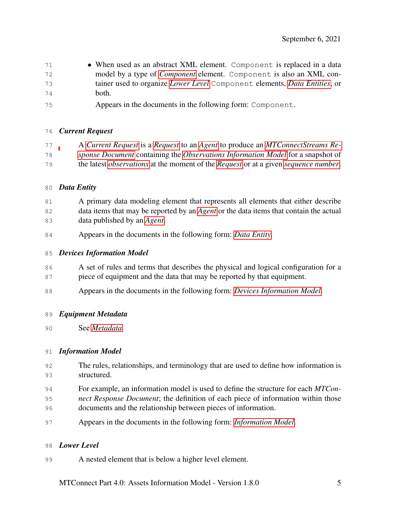- 71 When used as an abstract XML element. Component is replaced in a data model by a type of *[Component](#page-7-2)* element. Component is also an XML con- tainer used to organize *[Lower Level](#page-8-1)* Component elements, *[Data Entities](#page-8-2)*, or both.
- Appears in the documents in the following form: Component.

## <span id="page-8-3"></span>*Current Request*

 A *[Current Request](#page-8-3)* is a *[Request](#page-10-3)* to an *[Agent](#page-6-3)* to produce an *[MTConnectStreams Re-](#page-10-4) [sponse Document](#page-10-4)* containing the *[Observations Information Model](#page-10-5)* for a snapshot of the latest *[observations](#page-10-6)* at the moment of the *[Request](#page-10-3)* or at a given *[sequence number](#page-11-2)*.

## <span id="page-8-2"></span>*Data Entity*

- A primary data modeling element that represents all elements that either describe data items that may be reported by an *[Agent](#page-6-3)* or the data items that contain the actual data published by an *[Agent](#page-6-3)*.
- Appears in the documents in the following form: *[Data Entity](#page-8-2)*.

## <span id="page-8-4"></span>*Devices Information Model*

- 86 A set of rules and terms that describes the physical and logical configuration for a
- piece of equipment and the data that may be reported by that equipment.
- Appears in the documents in the following form: *[Devices Information Model](#page-8-4)*.

## <span id="page-8-5"></span>*Equipment Metadata*

See *[Metadata](#page-9-1)*

## <span id="page-8-0"></span>*Information Model*

- The rules, relationships, and terminology that are used to define how information is structured.
- For example, an information model is used to define the structure for each *MTCon-*
- *nect Response Document*; the definition of each piece of information within those documents and the relationship between pieces of information.
- Appears in the documents in the following form: *[Information Model](#page-8-0)*.

## <span id="page-8-1"></span>*Lower Level*

A nested element that is below a higher level element.

MTConnect Part 4.0: Assets Information Model - Version 1.8.0 5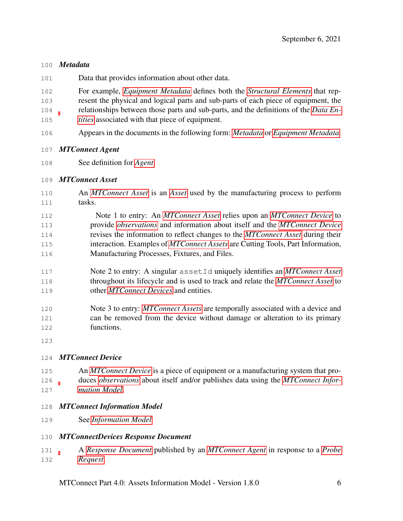## <span id="page-9-1"></span>*Metadata*

Data that provides information about other data.

 For example, *[Equipment Metadata](#page-8-5)* defines both the *[Structural Elements](#page-11-1)* that rep- resent the physical and logical parts and sub-parts of each piece of equipment, the relationships between those parts and sub-parts, and the definitions of the *[Data En-](#page-8-2)[tities](#page-8-2)* associated with that piece of equipment.

Appears in the documents in the following form: *[Metadata](#page-9-1)* or *[Equipment Metadata](#page-8-5)*.

## <span id="page-9-4"></span>*MTConnect Agent*

See definition for *[Agent](#page-6-3)*.

## <span id="page-9-0"></span>*MTConnect Asset*

- An *[MTConnect Asset](#page-9-0)* is an *[Asset](#page-7-0)* used by the manufacturing process to perform tasks.
- Note 1 to entry: An *[MTConnect Asset](#page-9-0)* relies upon an *[MTConnect Device](#page-9-2)* to provide *[observations](#page-10-6)* and information about itself and the *[MTConnect Device](#page-9-2)* revises the information to reflect changes to the *[MTConnect Asset](#page-9-0)* during their interaction. Examples of *[MTConnect Assets](#page-9-0)* are Cutting Tools, Part Information, Manufacturing Processes, Fixtures, and Files.
- Note 2 to entry: A singular assetId uniquely identifies an *[MTConnect Asset](#page-9-0)* throughout its lifecycle and is used to track and relate the *[MTConnect Asset](#page-9-0)* to other *[MTConnect Devices](#page-9-2)* and entities.
- Note 3 to entry: *[MTConnect Assets](#page-9-0)* are temporally associated with a device and can be removed from the device without damage or alteration to its primary functions.
- 

## <span id="page-9-2"></span>*MTConnect Device*

- An *[MTConnect Device](#page-9-2)* is a piece of equipment or a manufacturing system that pro- duces *[observations](#page-10-6)* about itself and/or publishes data using the *[MTConnect Infor-](#page-9-3)[mation Model](#page-9-3)*.
- <span id="page-9-3"></span>*MTConnect Information Model*
- See *[Information Model](#page-8-0)*

## <span id="page-9-5"></span>*MTConnectDevices Response Document*

 A *[Response Document](#page-10-0)* published by an *[MTConnect Agent](#page-9-4)* in response to a *[Probe](#page-10-7) [Request](#page-10-7)*.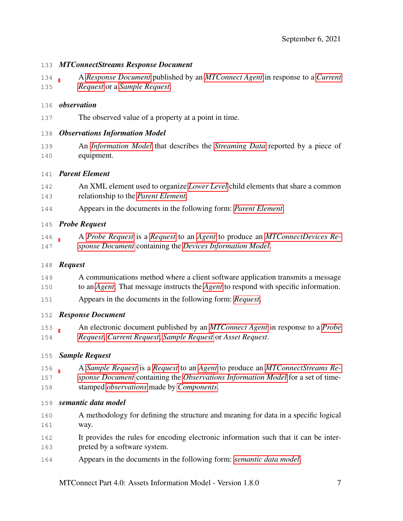#### <span id="page-10-4"></span>*MTConnectStreams Response Document*

 A *[Response Document](#page-10-0)* published by an *[MTConnect Agent](#page-9-4)* in response to a *[Current](#page-8-3) [Request](#page-8-3)* or a *[Sample Request](#page-10-8)*.

#### <span id="page-10-6"></span>*observation*

The observed value of a property at a point in time.

## <span id="page-10-5"></span>*Observations Information Model*

 An *[Information Model](#page-8-0)* that describes the *[Streaming Data](#page-11-3)* reported by a piece of equipment.

## <span id="page-10-2"></span>*Parent Element*

- An XML element used to organize *[Lower Level](#page-8-1)* child elements that share a common relationship to the *[Parent Element](#page-10-2)*.
- Appears in the documents in the following form: *[Parent Element](#page-10-2)*.

## <span id="page-10-7"></span>*Probe Request*

 A *[Probe Request](#page-10-7)* is a *[Request](#page-10-3)* to an *[Agent](#page-6-3)* to produce an *[MTConnectDevices Re-](#page-9-5)[sponse Document](#page-9-5)* containing the *[Devices Information Model](#page-8-4)*.

## <span id="page-10-3"></span>*Request*

- A communications method where a client software application transmits a message to an *[Agent](#page-6-3)*. That message instructs the *[Agent](#page-6-3)* to respond with specific information.
- Appears in the documents in the following form: *[Request](#page-10-3)*.

## <span id="page-10-0"></span>*Response Document*

 An electronic document published by an *[MTConnect Agent](#page-9-4)* in response to a *[Probe](#page-10-7) [Request](#page-10-7)*, *[Current Request](#page-8-3)*, *[Sample Request](#page-10-8)* or *Asset Request*.

## <span id="page-10-8"></span>*Sample Request*

- A *[Sample Request](#page-10-8)* is a *[Request](#page-10-3)* to an *[Agent](#page-6-3)* to produce an *[MTConnectStreams Re-](#page-10-4)[sponse Document](#page-10-4)* containing the *[Observations Information Model](#page-10-5)* for a set of time-
- stamped *[observations](#page-10-6)* made by *[Components](#page-7-2)*.

## <span id="page-10-1"></span>*semantic data model*

- A methodology for defining the structure and meaning for data in a specific logical way.
- It provides the rules for encoding electronic information such that it can be inter-preted by a software system.
- Appears in the documents in the following form: *[semantic data model](#page-10-1)*.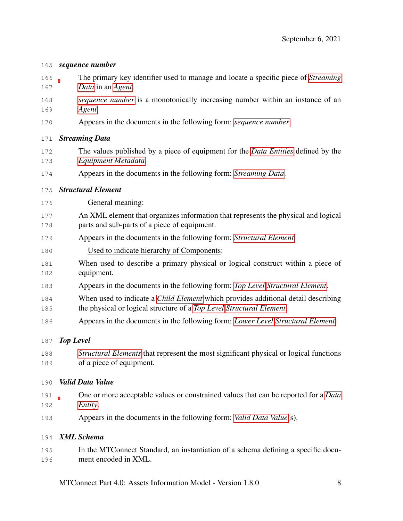#### <span id="page-11-2"></span>*sequence number*

- The primary key identifier used to manage and locate a specific piece of *[Streaming](#page-11-3) [Data](#page-11-3)* in an *[Agent](#page-6-3)*.
- *[sequence number](#page-11-2)* is a monotonically increasing number within an instance of an *[Agent](#page-6-3)*.
- Appears in the documents in the following form: *[sequence number](#page-11-2)*.

#### <span id="page-11-3"></span>*Streaming Data*

- The values published by a piece of equipment for the *[Data Entities](#page-8-2)* defined by the *[Equipment Metadata](#page-8-5)*.
- Appears in the documents in the following form: *[Streaming Data](#page-11-3)*.

## <span id="page-11-1"></span>*Structural Element*

- General meaning:
- An XML element that organizes information that represents the physical and logical parts and sub-parts of a piece of equipment.
- Appears in the documents in the following form: *[Structural Element](#page-11-1)*.
- Used to indicate hierarchy of Components:
- When used to describe a primary physical or logical construct within a piece of equipment.
- Appears in the documents in the following form: *[Top Level](#page-11-4) [Structural Element](#page-11-1)*.
- When used to indicate a *[Child Element](#page-7-1)* which provides additional detail describing the physical or logical structure of a *[Top Level](#page-11-4) [Structural Element](#page-11-1)*.
- Appears in the documents in the following form: *[Lower Level](#page-8-1) [Structural Element](#page-11-1)*.

## <span id="page-11-4"></span>*Top Level*

 *[Structural Elements](#page-11-1)* that represent the most significant physical or logical functions of a piece of equipment.

## <span id="page-11-5"></span>*Valid Data Value*

- One or more acceptable values or constrained values that can be reported for a *[Data](#page-8-2) [Entity](#page-8-2)*.
- Appears in the documents in the following form: *[Valid Data Value](#page-11-5)*(s).

## <span id="page-11-6"></span>*XML Schema*

<span id="page-11-0"></span> In the MTConnect Standard, an instantiation of a schema defining a specific docu-ment encoded in XML.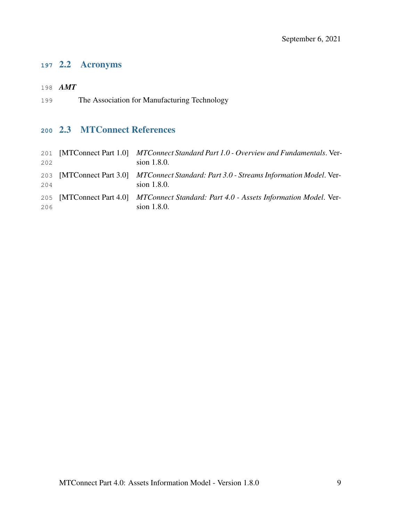## 2.2 Acronyms

- <span id="page-12-0"></span>*AMT*
- The Association for Manufacturing Technology

## <span id="page-12-1"></span>2.3 MTConnect References

<span id="page-12-2"></span>

| 201<br>202 | [MTConnect Part 1.0] MTConnect Standard Part 1.0 - Overview and Fundamentals. Ver-<br>sion 1.8.0.      |
|------------|--------------------------------------------------------------------------------------------------------|
| 204        | 203 [MTConnect Part 3.0] MTConnect Standard: Part 3.0 - Streams Information Model. Ver-<br>sion 1.8.0. |
| 206        | 205 [MTConnect Part 4.0] MTConnect Standard: Part 4.0 - Assets Information Model. Ver-<br>sion 1.8.0.  |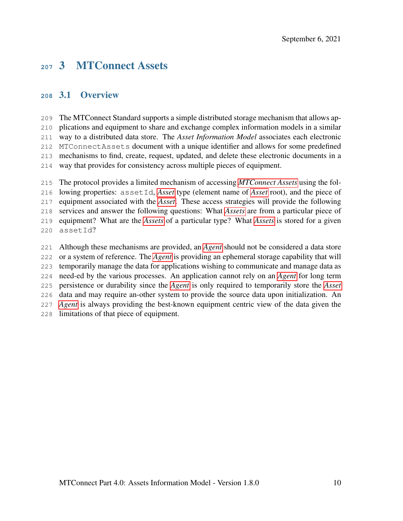## 3 MTConnect Assets

## <span id="page-13-0"></span>3.1 Overview

 The MTConnect Standard supports a simple distributed storage mechanism that allows ap- plications and equipment to share and exchange complex information models in a similar way to a distributed data store. The *Asset Information Model* associates each electronic MTConnectAssets document with a unique identifier and allows for some predefined mechanisms to find, create, request, updated, and delete these electronic documents in a way that provides for consistency across multiple pieces of equipment.

 The protocol provides a limited mechanism of accessing *[MTConnect Assets](#page-9-0)* using the fol- lowing properties: assetId, *[Asset](#page-7-0)* type (element name of *[Asset](#page-7-0)* root), and the piece of equipment associated with the *[Asset](#page-7-0)*. These access strategies will provide the following services and answer the following questions: What *[Assets](#page-7-0)* are from a particular piece of equipment? What are the *[Assets](#page-7-0)* of a particular type? What *[Assets](#page-7-0)* is stored for a given assetId?

 Although these mechanisms are provided, an *[Agent](#page-6-3)* should not be considered a data store or a system of reference. The *[Agent](#page-6-3)* is providing an ephemeral storage capability that will temporarily manage the data for applications wishing to communicate and manage data as need-ed by the various processes. An application cannot rely on an *[Agent](#page-6-3)* for long term persistence or durability since the *[Agent](#page-6-3)* is only required to temporarily store the *[Asset](#page-7-0)* data and may require an-other system to provide the source data upon initialization. An *[Agent](#page-6-3)* is always providing the best-known equipment centric view of the data given the limitations of that piece of equipment.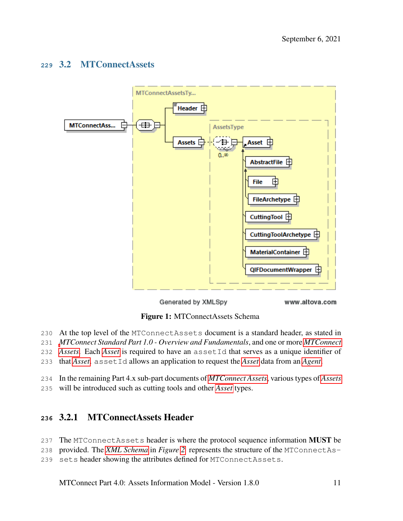## <span id="page-14-0"></span>3.2 MTConnectAssets

<span id="page-14-2"></span>

Generated by XMLSpy

www.altova.com

Figure 1: MTConnectAssets Schema

- At the top level of the MTConnectAssets document is a standard header, as stated in
- *[M](#page-9-0)TConnect Standard Part 1.0 Overview and Fundamentals*, and one or more *[MTConnect](#page-9-0)*
- *[Assets](#page-9-0)*. Each *[Asset](#page-7-0)* is required to have an assetId that serves as a unique identifier of
- that *[Asset](#page-7-0)*. assetId allows an application to request the *[Asset](#page-7-0)* data from an *[Agent](#page-6-3)*.
- In the remaining Part 4.x sub-part documents of *[MTConnect Assets](#page-9-0)*, various types of *[Assets](#page-7-0)*
- <span id="page-14-1"></span>will be introduced such as cutting tools and other *[Asset](#page-7-0)* types.

## 3.2.1 MTConnectAssets Header

- 237 The MTConnectAssets header is where the protocol sequence information **MUST** be
- provided. The *[XML Schema](#page-11-6)* in *Figure [2](#page-15-1)* represents the structure of the MTConnectAs-
- sets header showing the attributes defined for MTConnectAssets.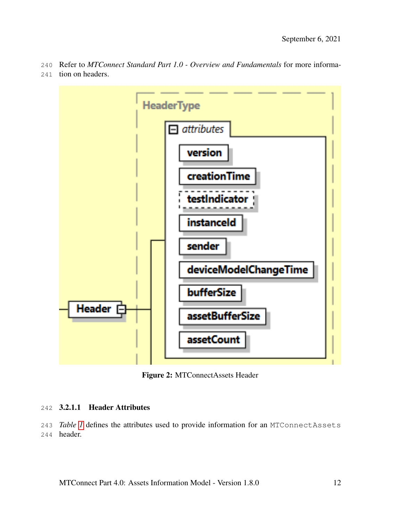Refer to *MTConnect Standard Part 1.0 - Overview and Fundamentals* for more informa-tion on headers.

<span id="page-15-1"></span>

Figure 2: MTConnectAssets Header

#### <span id="page-15-0"></span>3.2.1.1 Header Attributes

<span id="page-15-2"></span> *Table [1](#page-15-2)* defines the attributes used to provide information for an MTConnectAssets header.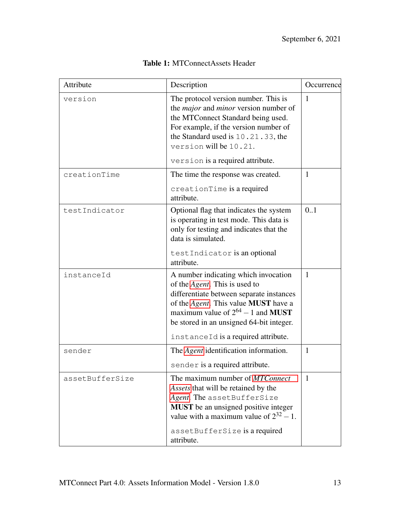| Attribute       | Description                                                                                                                                                                                                                                                                                           | Occurrence   |  |
|-----------------|-------------------------------------------------------------------------------------------------------------------------------------------------------------------------------------------------------------------------------------------------------------------------------------------------------|--------------|--|
| version         | The protocol version number. This is<br>the <i>major</i> and <i>minor</i> version number of<br>the MTConnect Standard being used.<br>For example, if the version number of<br>the Standard used is 10.21.33, the<br>version will be 10.21.                                                            | $\mathbf{1}$ |  |
|                 | version is a required attribute.                                                                                                                                                                                                                                                                      |              |  |
| creationTime    | The time the response was created.<br>creationTime is a required<br>attribute.                                                                                                                                                                                                                        | $\mathbf{1}$ |  |
| testIndicator   | Optional flag that indicates the system<br>is operating in test mode. This data is<br>only for testing and indicates that the<br>data is simulated.                                                                                                                                                   | 0.1          |  |
|                 | testIndicator is an optional<br>attribute.                                                                                                                                                                                                                                                            |              |  |
| instanceId      | A number indicating which invocation<br>of the <i>Agent</i> . This is used to<br>differentiate between separate instances<br>of the Agent. This value MUST have a<br>maximum value of $2^{64} - 1$ and <b>MUST</b><br>be stored in an unsigned 64-bit integer.<br>instanceId is a required attribute. | 1            |  |
| sender          | The <i>Agent</i> identification information.                                                                                                                                                                                                                                                          | $\mathbf{1}$ |  |
|                 | sender is a required attribute.                                                                                                                                                                                                                                                                       |              |  |
| assetBufferSize | The maximum number of MTConnect<br>Assets that will be retained by the<br>Agent. The assetBufferSize<br>MUST be an unsigned positive integer<br>value with a maximum value of $2^{32} - 1$ .<br>assetBufferSize is a required<br>attribute.                                                           | 1            |  |

## Table 1: MTConnectAssets Header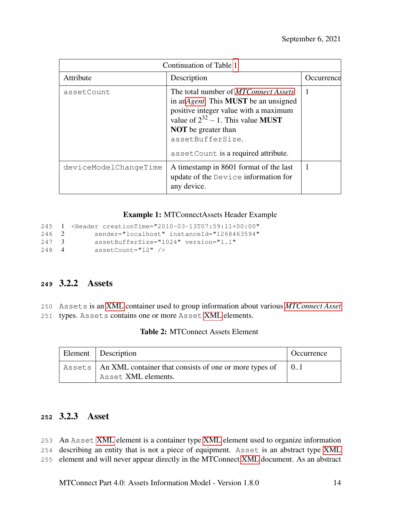| Continuation of Table 1 |                                                                                                                                                                                                                                                                                          |              |  |  |
|-------------------------|------------------------------------------------------------------------------------------------------------------------------------------------------------------------------------------------------------------------------------------------------------------------------------------|--------------|--|--|
| Attribute               | Description                                                                                                                                                                                                                                                                              | Occurrence   |  |  |
| assetCount              | The total number of <i>MTConnect Assets</i><br>in an <i>Agent</i> . This <b>MUST</b> be an unsigned<br>positive integer value with a maximum<br>value of $2^{32} - 1$ . This value <b>MUST</b><br><b>NOT</b> be greater than<br>assetBufferSize.<br>asset Count is a required attribute. | $\mathbf{1}$ |  |  |
| deviceModelChangeTime   | A timestamp in 8601 format of the last<br>update of the Device information for<br>any device.                                                                                                                                                                                            | $\mathbf{1}$ |  |  |

Example 1: MTConnectAssets Header Example

```
245 1 <Header creationTime="2010-03-13T07:59:11+00:00"
246 2 sender="localhost" instanceId="1268463594"
247 3 assetBufferSize="1024" version="1.1"<br>248 4 assetCount="12" />
             assetCount="12" />
```
## <span id="page-17-0"></span>**<sup>249</sup>** 3.2.2 Assets

250 Assets is an [XML](#page-6-4) container used to group information about various *[MTConnect Asset](#page-9-0)*

<span id="page-17-2"></span>251 types. Assets contains one or more Asset [XML](#page-6-4) elements.

| Element Description                                                                    | Occurrence |
|----------------------------------------------------------------------------------------|------------|
| Assets   An XML container that consists of one or more types of<br>Asset XML elements. |            |

## <span id="page-17-1"></span>**<sup>252</sup>** 3.2.3 Asset

253 An Asset [XML](#page-6-4) element is a container type [XML](#page-6-4) element used to organize information

254 describing an entity that is not a piece of equipment. Asset is an abstract type [XML](#page-6-4)

255 element and will never appear directly in the MTConnect [XML](#page-6-4) document. As an abstract

MTConnect Part 4.0: Assets Information Model - Version 1.8.0 14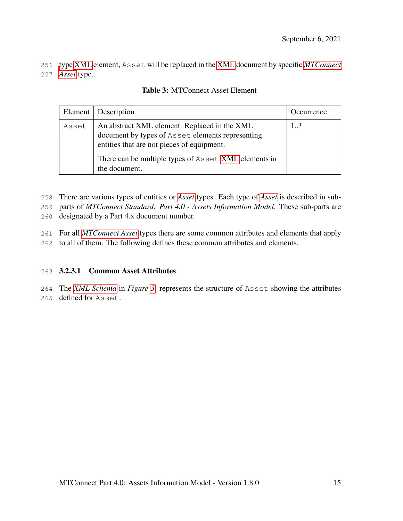<span id="page-18-1"></span>256 [t](#page-9-0)ype [XML](#page-6-4) element, Asset will be replaced in the [XML](#page-6-4) document by specific *[MTConnect](#page-9-0)* 257 *[Asset](#page-9-0)* type.

|       | Element   Description                                                                                                                                                                                                   | Occurrence |
|-------|-------------------------------------------------------------------------------------------------------------------------------------------------------------------------------------------------------------------------|------------|
| Asset | An abstract XML element. Replaced in the XML<br>document by types of Asset elements representing<br>entities that are not pieces of equipment.<br>There can be multiple types of Asset XML elements in<br>the document. | $1.$ *     |

## Table 3: MTConnect Asset Element

258 There are various types of entities or *[Asset](#page-7-0)* types. Each type of *[Asset](#page-7-0)* is described in sub-

259 parts of *MTConnect Standard: Part 4.0 - Assets Information Model*. These sub-parts are

260 designated by a Part 4.x document number.

261 For all *[MTConnect Asset](#page-9-0)* types there are some common attributes and elements that apply

<span id="page-18-0"></span>262 to all of them. The following defines these common attributes and elements.

## 263 3.2.3.1 Common Asset Attributes

264 The *[XML Schema](#page-11-6)* in *Figure [3](#page-19-0)* represents the structure of Asset showing the attributes 265 defined for Asset.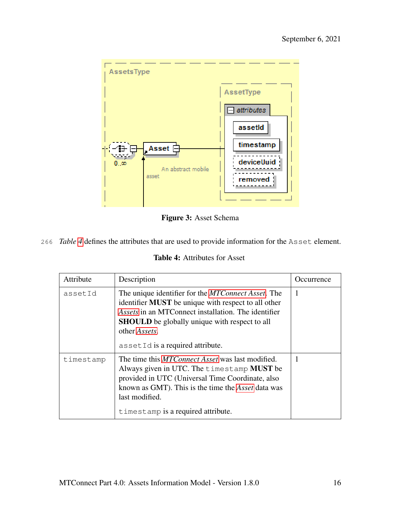<span id="page-19-0"></span>

Figure 3: Asset Schema

<span id="page-19-1"></span>266 *Table [4](#page-19-1)* defines the attributes that are used to provide information for the Asset element.

|  | <b>Table 4:</b> Attributes for Asset |  |
|--|--------------------------------------|--|
|--|--------------------------------------|--|

| Attribute | Description                                                                                                                                                                                                                                                                                          | Occurrence |
|-----------|------------------------------------------------------------------------------------------------------------------------------------------------------------------------------------------------------------------------------------------------------------------------------------------------------|------------|
| assetId   | The unique identifier for the <i>MTConnect Asset</i> . The<br>identifier <b>MUST</b> be unique with respect to all other<br>Assets in an MTConnect installation. The identifier<br><b>SHOULD</b> be globally unique with respect to all<br>other <i>Assets</i> .<br>assetId is a required attribute. | 1          |
| timestamp | The time this <i>MTConnect Asset</i> was last modified.<br>Always given in UTC. The timestamp <b>MUST</b> be<br>provided in UTC (Universal Time Coordinate, also<br>known as GMT). This is the time the <i>Asset</i> data was<br>last modified.<br>timestamp is a required attribute.                |            |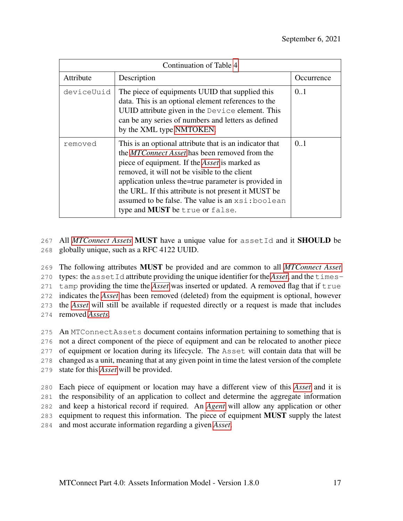| Continuation of Table 4 |                                                                                                                                                                                                                                                                                                                                                                                                                                           |            |
|-------------------------|-------------------------------------------------------------------------------------------------------------------------------------------------------------------------------------------------------------------------------------------------------------------------------------------------------------------------------------------------------------------------------------------------------------------------------------------|------------|
| Attribute               | Description                                                                                                                                                                                                                                                                                                                                                                                                                               | Occurrence |
| deviceUuid              | The piece of equipments UUID that supplied this<br>data. This is an optional element references to the<br>UUID attribute given in the Device element. This<br>can be any series of numbers and letters as defined<br>by the XML type NMTOKEN.                                                                                                                                                                                             | 0.1        |
| removed                 | This is an optional attribute that is an indicator that<br>the <i>MTConnect Asset</i> has been removed from the<br>piece of equipment. If the <i>Asset</i> is marked as<br>removed, it will not be visible to the client<br>application unless the=true parameter is provided in<br>the URL. If this attribute is not present it MUST be<br>assumed to be false. The value is an $xsi:$ boolean<br>type and <b>MUST</b> be true or false. | 0.1        |

267 All *[MTConnect Assets](#page-9-0)* MUST have a unique value for assetId and it SHOULD be 268 globally unique, such as a RFC 4122 UUID.

 The following attributes MUST be provided and are common to all *[MTConnect Asset](#page-9-0)* types: the assetId attribute providing the unique identifier for the *[Asset](#page-7-0)*, and the times- tamp providing the time the *[Asset](#page-7-0)* was inserted or updated. A removed flag that if true indicates the *[Asset](#page-7-0)* has been removed (deleted) from the equipment is optional, however the *[Asset](#page-7-0)* will still be available if requested directly or a request is made that includes removed *[Assets](#page-7-0)*.

 An MTConnectAssets document contains information pertaining to something that is not a direct component of the piece of equipment and can be relocated to another piece of equipment or location during its lifecycle. The Asset will contain data that will be changed as a unit, meaning that at any given point in time the latest version of the complete state for this *[Asset](#page-7-0)* will be provided.

 Each piece of equipment or location may have a different view of this *[Asset](#page-7-0)* and it is the responsibility of an application to collect and determine the aggregate information and keep a historical record if required. An *[Agent](#page-6-3)* will allow any application or other 283 equipment to request this information. The piece of equipment **MUST** supply the latest and most accurate information regarding a given *[Asset](#page-7-0)*.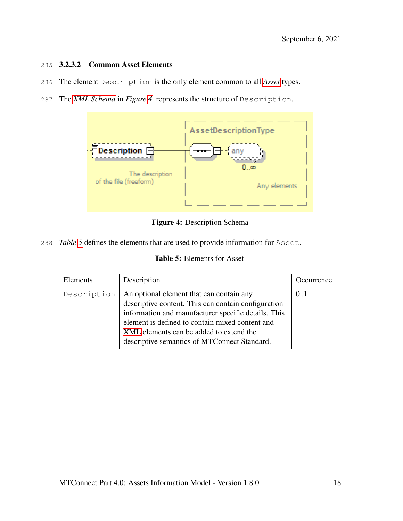#### <span id="page-21-0"></span>285 3.2.3.2 Common Asset Elements

- 286 The element Description is the only element common to all *[Asset](#page-7-0)* types.
- 287 The *[XML Schema](#page-11-6)* in *Figure [4](#page-21-2)* represents the structure of Description.

<span id="page-21-2"></span>

Figure 4: Description Schema

<span id="page-21-3"></span>288 *Table [5](#page-21-3)* defines the elements that are used to provide information for Asset.

| <b>Table 5:</b> Elements for Asset |  |
|------------------------------------|--|
|------------------------------------|--|

<span id="page-21-1"></span>

| Elements    | Description                                                                                                                                                                                                                                                                                          | Occurrence |
|-------------|------------------------------------------------------------------------------------------------------------------------------------------------------------------------------------------------------------------------------------------------------------------------------------------------------|------------|
| Description | An optional element that can contain any<br>descriptive content. This can contain configuration<br>information and manufacturer specific details. This<br>element is defined to contain mixed content and<br>XML elements can be added to extend the<br>descriptive semantics of MTConnect Standard. | 0.1        |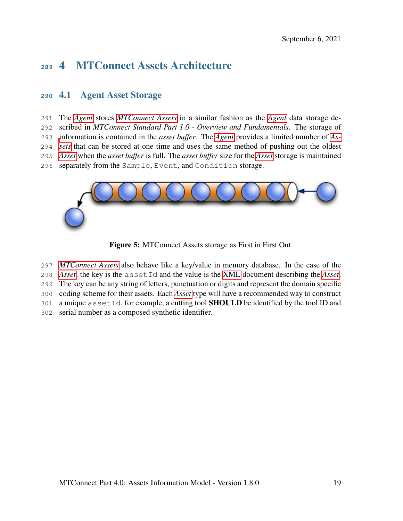# 4 MTConnect Assets Architecture

## <span id="page-22-0"></span>4.1 Agent Asset Storage

 The *[Agent](#page-6-3)* stores *[MTConnect Assets](#page-9-0)* in a similar fashion as the *[Agent](#page-6-3)* data storage de- scribed in *MTConnect Standard Part 1.0 - Overview and Fundamentals*. The storage of [i](#page-7-0)nformation is contained in the *asset buffer*. The *[Agent](#page-6-3)* provides a limited number of *[As-](#page-7-0) [sets](#page-7-0)* that can be stored at one time and uses the same method of pushing out the oldest *[Asset](#page-7-0)* when the *asset buffer* is full. The *asset buffer* size for the *[Asset](#page-7-0)* storage is maintained separately from the Sample, Event, and Condition storage.

<span id="page-22-1"></span>

Figure 5: MTConnect Assets storage as First in First Out

*[MTConnect Assets](#page-9-0)* also behave like a key/value in memory database. In the case of the

*[Asset](#page-7-0)*, the key is the assetId and the value is the [XML](#page-6-4) document describing the *[Asset](#page-7-0)*.

The key can be any string of letters, punctuation or digits and represent the domain specific

coding scheme for their assets. Each *[Asset](#page-7-0)* type will have a recommended way to construct

301 a unique asset  $Id$ , for example, a cutting tool **SHOULD** be identified by the tool ID and

serial number as a composed synthetic identifier.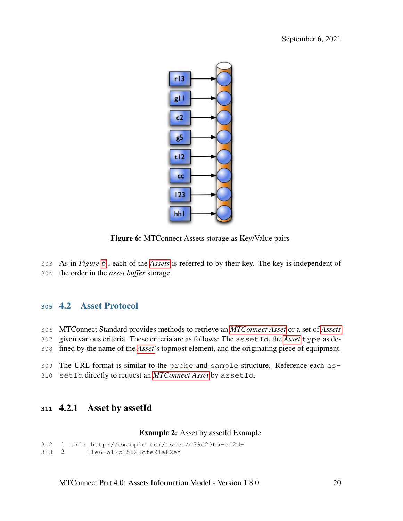<span id="page-23-2"></span>

Figure 6: MTConnect Assets storage as Key/Value pairs

- As in *Figure [6](#page-23-2)* , each of the *[Assets](#page-7-0)* is referred to by their key. The key is independent of
- <span id="page-23-0"></span>the order in the *asset buffer* storage.

## 4.2 Asset Protocol

 MTConnect Standard provides methods to retrieve an *[MTConnect Asset](#page-9-0)* or a set of *[Assets](#page-7-0)* given various criteria. These criteria are as follows: The assetId, the *[Asset](#page-7-0)* type as de-fined by the name of the *[Asset](#page-7-0)*'s topmost element, and the originating piece of equipment.

<span id="page-23-1"></span> The URL format is similar to the probe and sample structure. Reference each as-setId directly to request an *[MTConnect Asset](#page-9-0)* by assetId.

## 4.2.1 Asset by assetId

#### Example 2: Asset by assetId Example

```
312 1 url: http://example.com/asset/e39d23ba-ef2d-
313 2 11e6-b12c15028cfe91a82ef
```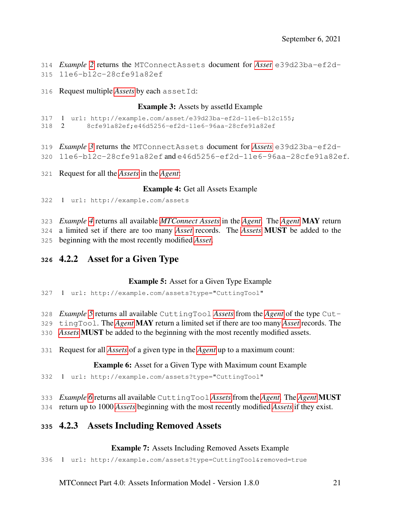- *Example [2](#page-23-3)* returns the MTConnectAssets document for *[Asset](#page-7-0)* e39d23ba-ef2d-11e6-b12c-28cfe91a82ef
- <span id="page-24-2"></span>Request multiple *[Assets](#page-7-0)* by each assetId:

#### Example 3: Assets by assetId Example

```
317 1 url: http://example.com/asset/e39d23ba-ef2d-11e6-b12c155;
```
- 2 8cfe91a82ef;e46d5256-ef2d-11e6-96aa-28cfe91a82ef
- *Example [3](#page-24-2)* returns the MTConnectAssets document for *[Assets](#page-7-0)* e39d23ba-ef2d-
- 11e6-b12c-28cfe91a82ef and e46d5256-ef2d-11e6-96aa-28cfe91a82ef.
- <span id="page-24-3"></span>Request for all the *[Assets](#page-7-0)* in the *[Agent](#page-6-3)*:

#### Example 4: Get all Assets Example

1 url: http://example.com/assets

*Example [4](#page-24-3)* returns all available *[MTConnect Assets](#page-9-0)* in the *[Agent](#page-6-3)*. The *[Agent](#page-6-3)* MAY return

a limited set if there are too many *[Asset](#page-7-0)* records. The *[Assets](#page-7-0)* MUST be added to the

<span id="page-24-0"></span>beginning with the most recently modified *[Asset](#page-7-0)*.

## 4.2.2 Asset for a Given Type

## Example 5: Asset for a Given Type Example

<span id="page-24-4"></span>1 url: http://example.com/assets?type="CuttingTool"

- *Example [5](#page-24-4)* returns all available CuttingTool *[Assets](#page-7-0)* from the *[Agent](#page-6-3)* of the type Cut-
- tingTool. The *[Agent](#page-6-3)* MAY return a limited set if there are too many *[Asset](#page-7-0)* records. The
- *[Assets](#page-7-0)* MUST be added to the beginning with the most recently modified assets.
- <span id="page-24-5"></span>Request for all *[Assets](#page-7-0)* of a given type in the *[Agent](#page-6-3)* up to a maximum count:

## Example 6: Asset for a Given Type with Maximum count Example

- 1 url: http://example.com/assets?type="CuttingTool"
- *Example [6](#page-24-5)* returns all available CuttingTool *[Assets](#page-7-0)* from the *[Agent](#page-6-3)*. The *[Agent](#page-6-3)* MUST
- <span id="page-24-1"></span>return up to 1000 *[Assets](#page-7-0)* beginning with the most recently modified *[Assets](#page-7-0)* if they exist.

## 4.2.3 Assets Including Removed Assets

## Example 7: Assets Including Removed Assets Example

<span id="page-24-6"></span>1 url: http://example.com/assets?type=CuttingTool&removed=true

MTConnect Part 4.0: Assets Information Model - Version 1.8.0 21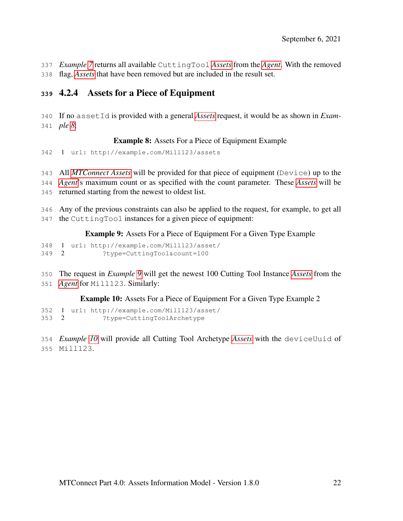- *Example [7](#page-24-6)* returns all available CuttingTool *[Assets](#page-7-0)* from the *[Agent](#page-6-3)*. With the removed
- <span id="page-25-0"></span>flag, *[Assets](#page-7-0)* that have been removed but are included in the result set.

## 4.2.4 Assets for a Piece of Equipment

 If no assetId is provided with a general *[Assets](#page-7-0)* request, it would be as shown in *Exam-ple [8](#page-25-2)*:

## Example 8: Assets For a Piece of Equipment Example

<span id="page-25-2"></span>1 url: http://example.com/Mill123/assets

All *[MTConnect Assets](#page-9-0)* will be provided for that piece of equipment (Device) up to the

 *[Agent](#page-6-3)*'s maximum count or as specified with the count parameter. These *[Assets](#page-7-0)* will be returned starting from the newest to oldest list.

 Any of the previous constraints can also be applied to the request, for example, to get all the CuttingTool instances for a given piece of equipment:

Example 9: Assets For a Piece of Equipment For a Given Type Example

<span id="page-25-3"></span> 1 url: http://example.com/Mill123/asset/ 2 ?type=CuttingTool&count=100

- The request in *Example [9](#page-25-3)* will get the newest 100 Cutting Tool Instance *[Assets](#page-7-0)* from the
- *[Agent](#page-6-3)* for Mill123. Similarly:

<span id="page-25-4"></span>Example 10: Assets For a Piece of Equipment For a Given Type Example 2

 1 url: http://example.com/Mill123/asset/ 2 ?type=CuttingToolArchetype

<span id="page-25-1"></span> *Example [10](#page-25-4)* will provide all Cutting Tool Archetype *[Assets](#page-7-0)* with the deviceUuid of Mill123.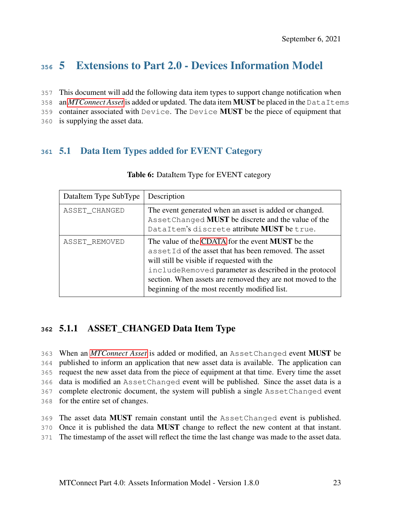# **<sup>356</sup>** 5 Extensions to Part 2.0 - Devices Information Model

- 357 This document will add the following data item types to support change notification when
- 358 an *[MTConnect Asset](#page-9-0)* is added or updated. The data item MUST be placed in the DataItems
- 359 container associated with Device. The Device MUST be the piece of equipment that
- <span id="page-26-0"></span>360 is supplying the asset data.

## <span id="page-26-3"></span>**<sup>361</sup>** 5.1 Data Item Types added for EVENT Category

| DataItem Type SubType | Description                                                                                                                                                                                                                                                                                                                              |
|-----------------------|------------------------------------------------------------------------------------------------------------------------------------------------------------------------------------------------------------------------------------------------------------------------------------------------------------------------------------------|
| ASSET_CHANGED         | The event generated when an asset is added or changed.<br>AssetChanged MUST be discrete and the value of the<br>DataItem's discrete attribute MUST be true.                                                                                                                                                                              |
| ASSET_REMOVED         | The value of the CDATA for the event <b>MUST</b> be the<br>asset Id of the asset that has been removed. The asset<br>will still be visible if requested with the<br>includeRemoved parameter as described in the protocol<br>section. When assets are removed they are not moved to the<br>beginning of the most recently modified list. |

#### Table 6: DataItem Type for EVENT category

## <span id="page-26-1"></span>**<sup>362</sup>** 5.1.1 ASSET\_CHANGED Data Item Type

 When an *[MTConnect Asset](#page-9-0)* is added or modified, an AssetChanged event MUST be published to inform an application that new asset data is available. The application can request the new asset data from the piece of equipment at that time. Every time the asset data is modified an AssetChanged event will be published. Since the asset data is a complete electronic document, the system will publish a single AssetChanged event for the entire set of changes.

- 369 The asset data MUST remain constant until the AssetChanged event is published.
- 370 Once it is published the data MUST change to reflect the new content at that instant.
- <span id="page-26-2"></span>371 The timestamp of the asset will reflect the time the last change was made to the asset data.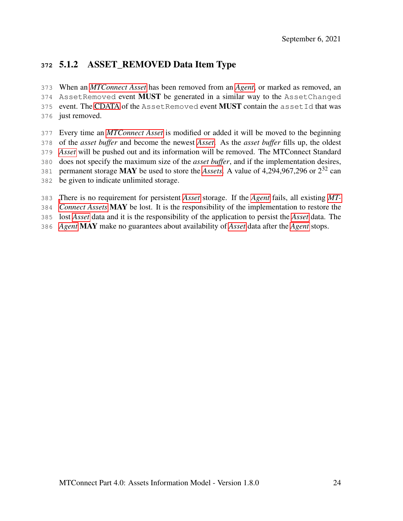## 5.1.2 ASSET\_REMOVED Data Item Type

 When an *[MTConnect Asset](#page-9-0)* has been removed from an *[Agent](#page-6-3)*, or marked as removed, an 374 AssetRemoved event **MUST** be generated in a similar way to the AssetChanged 375 event. The [CDATA](#page-6-1) of the AssetRemoved event MUST contain the assetId that was just removed.

- Every time an *[MTConnect Asset](#page-9-0)* is modified or added it will be moved to the beginning of the *asset buffer* and become the newest *[Asset](#page-7-0)*. As the *asset buffer* fills up, the oldest *[Asset](#page-7-0)* will be pushed out and its information will be removed. The MTConnect Standard does not specify the maximum size of the *asset buffer*, and if the implementation desires, 381 permanent storage MAY be used to store the *[Assets](#page-7-0)*. A value of  $4,294,967,296$  or  $2^{32}$  can be given to indicate unlimited storage.
- [T](#page-9-0)here is no requirement for persistent *[Asset](#page-7-0)* storage. If the *[Agent](#page-6-3)* fails, all existing *[MT-](#page-9-0)*
- *[Connect Assets](#page-9-0)* MAY be lost. It is the responsibility of the implementation to restore the
- lost *[Asset](#page-7-0)* data and it is the responsibility of the application to persist the *[Asset](#page-7-0)* data. The
- <span id="page-27-0"></span>*[Agent](#page-6-3)* MAY make no guarantees about availability of *[Asset](#page-7-0)* data after the *[Agent](#page-6-3)* stops.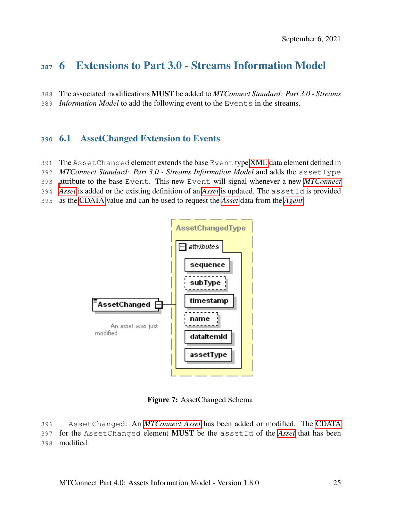# 6 Extensions to Part 3.0 - Streams Information Model

The associated modifications MUST be added to *MTConnect Standard: Part 3.0 - Streams*

<span id="page-28-0"></span>*Information Model* to add the following event to the Events in the streams.

## 6.1 AssetChanged Extension to Events

- The AssetChanged element extends the base Event type [XML](#page-6-4) data element defined in
- *MTConnect Standard: Part 3.0 Streams Information Model* and adds the assetType
- [a](#page-9-0)ttribute to the base Event. This new Event will signal whenever a new *[MTConnect](#page-9-0)*
- *[Asset](#page-9-0)* is added or the existing definition of an *[Asset](#page-7-0)* is updated. The assetId is provided
- as the [CDATA](#page-6-1) value and can be used to request the *[Asset](#page-7-0)* data from the *[Agent](#page-6-3)*.

<span id="page-28-2"></span>

Figure 7: AssetChanged Schema

<span id="page-28-1"></span> AssetChanged: An *[MTConnect Asset](#page-9-0)* has been added or modified. The [CDATA](#page-6-1) for the AssetChanged element MUST be the assetId of the *[Asset](#page-7-0)* that has been modified.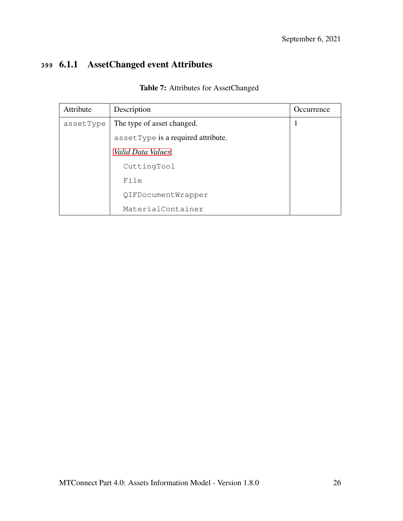# <span id="page-29-0"></span>**<sup>399</sup>** 6.1.1 AssetChanged event Attributes

| Attribute | Description                        | <i>Occurrence</i> |
|-----------|------------------------------------|-------------------|
| assetType | The type of asset changed.         | 1                 |
|           | assetType is a required attribute. |                   |
|           | <i>Valid Data Values:</i>          |                   |
|           | CuttingTool                        |                   |
|           | File                               |                   |
|           | QIFDocumentWrapper                 |                   |
|           | MaterialContainer                  |                   |

Table 7: Attributes for AssetChanged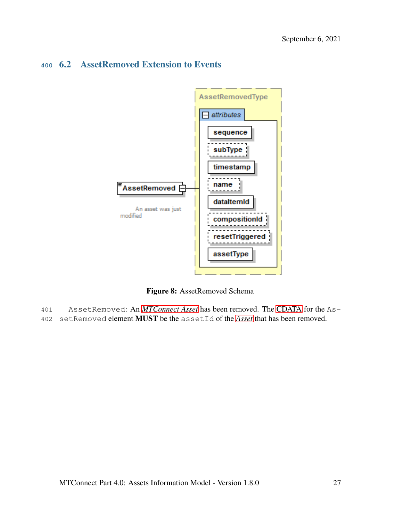## <span id="page-30-1"></span><span id="page-30-0"></span>**<sup>400</sup>** 6.2 AssetRemoved Extension to Events



Figure 8: AssetRemoved Schema

- 401 AssetRemoved: An *[MTConnect Asset](#page-9-0)* has been removed. The [CDATA](#page-6-1) for the As-
- 402 setRemoved element MUST be the assetId of the *[Asset](#page-7-0)* that has been removed.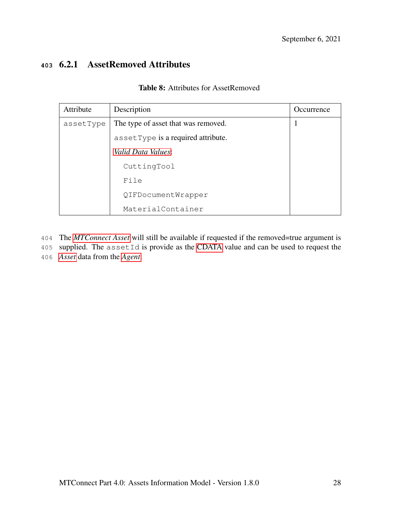## <span id="page-31-1"></span><span id="page-31-0"></span>**<sup>403</sup>** 6.2.1 AssetRemoved Attributes

|  |  | <b>Table 8:</b> Attributes for AssetRemoved |
|--|--|---------------------------------------------|
|--|--|---------------------------------------------|

| Attribute | Description                         | Occurrence |
|-----------|-------------------------------------|------------|
| assetType | The type of asset that was removed. |            |
|           | assetType is a required attribute.  |            |
|           | <i>Valid Data Values:</i>           |            |
|           | CuttingTool                         |            |
|           | File                                |            |
|           | QIFDocumentWrapper                  |            |
|           | MaterialContainer                   |            |

- 404 The *[MTConnect Asset](#page-9-0)* will still be available if requested if the removed=true argument is
- 405 supplied. The assetId is provide as the [CDATA](#page-6-1) value and can be used to request the
- 406 *[Asset](#page-7-0)* data from the *[Agent](#page-6-3)*.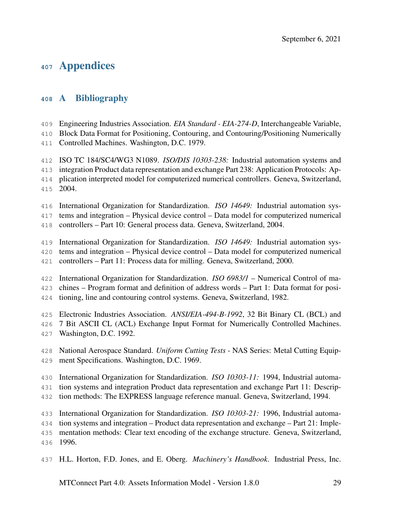# Appendices

## <span id="page-32-0"></span>A Bibliography

Engineering Industries Association. *EIA Standard - EIA-274-D*, Interchangeable Variable,

Block Data Format for Positioning, Contouring, and Contouring/Positioning Numerically

Controlled Machines. Washington, D.C. 1979.

ISO TC 184/SC4/WG3 N1089. *ISO/DIS 10303-238:* Industrial automation systems and

integration Product data representation and exchange Part 238: Application Protocols: Ap-

- plication interpreted model for computerized numerical controllers. Geneva, Switzerland, 2004.
- International Organization for Standardization. *ISO 14649:* Industrial automation sys-

tems and integration – Physical device control – Data model for computerized numerical

controllers – Part 10: General process data. Geneva, Switzerland, 2004.

International Organization for Standardization. *ISO 14649:* Industrial automation sys-

- tems and integration Physical device control Data model for computerized numerical
- controllers Part 11: Process data for milling. Geneva, Switzerland, 2000.

International Organization for Standardization. *ISO 6983/1* – Numerical Control of ma-

chines – Program format and definition of address words – Part 1: Data format for posi-

tioning, line and contouring control systems. Geneva, Switzerland, 1982.

Electronic Industries Association. *ANSI/EIA-494-B-1992*, 32 Bit Binary CL (BCL) and

- 7 Bit ASCII CL (ACL) Exchange Input Format for Numerically Controlled Machines.
- Washington, D.C. 1992.
- National Aerospace Standard. *Uniform Cutting Tests* NAS Series: Metal Cutting Equip-ment Specifications. Washington, D.C. 1969.

International Organization for Standardization. *ISO 10303-11:* 1994, Industrial automa-

- tion systems and integration Product data representation and exchange Part 11: Descrip-
- tion methods: The EXPRESS language reference manual. Geneva, Switzerland, 1994.

International Organization for Standardization. *ISO 10303-21:* 1996, Industrial automa-

tion systems and integration – Product data representation and exchange – Part 21: Imple-

mentation methods: Clear text encoding of the exchange structure. Geneva, Switzerland,

1996.

H.L. Horton, F.D. Jones, and E. Oberg. *Machinery's Handbook*. Industrial Press, Inc.

MTConnect Part 4.0: Assets Information Model - Version 1.8.0 29